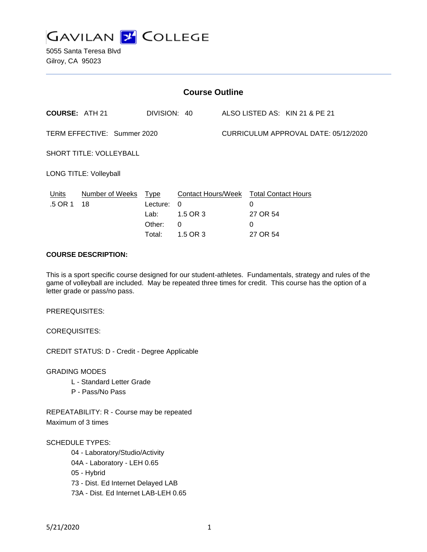

5055 Santa Teresa Blvd Gilroy, CA 95023

| <b>Course Outline</b>          |                            |                                      |                                                                                        |                                      |                                       |                                |
|--------------------------------|----------------------------|--------------------------------------|----------------------------------------------------------------------------------------|--------------------------------------|---------------------------------------|--------------------------------|
| <b>COURSE: ATH 21</b>          |                            | DIVISION: 40                         |                                                                                        |                                      |                                       | ALSO LISTED AS: KIN 21 & PE 21 |
| TERM EFFECTIVE: Summer 2020    |                            |                                      |                                                                                        | CURRICULUM APPROVAL DATE: 05/12/2020 |                                       |                                |
| <b>SHORT TITLE: VOLLEYBALL</b> |                            |                                      |                                                                                        |                                      |                                       |                                |
| <b>LONG TITLE: Volleyball</b>  |                            |                                      |                                                                                        |                                      |                                       |                                |
| Units<br>.5 OR 1               | Number of Weeks Type<br>18 | Lecture:<br>Lab:<br>Other:<br>Total: | Contact Hours/Week Total Contact Hours<br>$\Omega$<br>1.5 OR 3<br>$\Omega$<br>1.5 OR 3 |                                      | 0<br>27 OR 54<br>$\Omega$<br>27 OR 54 |                                |

### **COURSE DESCRIPTION:**

This is a sport specific course designed for our student-athletes. Fundamentals, strategy and rules of the game of volleyball are included. May be repeated three times for credit. This course has the option of a letter grade or pass/no pass.

PREREQUISITES:

COREQUISITES:

CREDIT STATUS: D - Credit - Degree Applicable

GRADING MODES

- L Standard Letter Grade
- P Pass/No Pass

REPEATABILITY: R - Course may be repeated Maximum of 3 times

SCHEDULE TYPES:

04 - Laboratory/Studio/Activity

04A - Laboratory - LEH 0.65

05 - Hybrid

73 - Dist. Ed Internet Delayed LAB

73A - Dist. Ed Internet LAB-LEH 0.65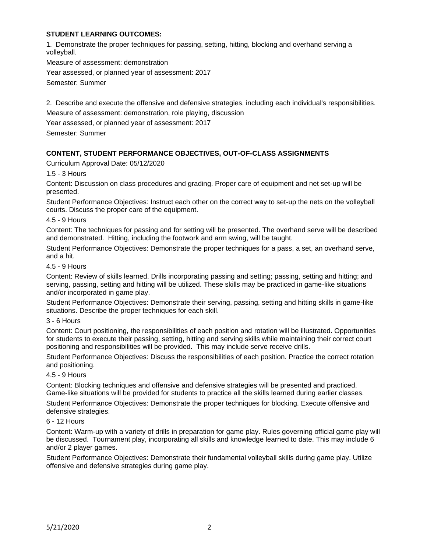#### **STUDENT LEARNING OUTCOMES:**

1. Demonstrate the proper techniques for passing, setting, hitting, blocking and overhand serving a volleyball.

Measure of assessment: demonstration Year assessed, or planned year of assessment: 2017

Semester: Summer

2. Describe and execute the offensive and defensive strategies, including each individual's responsibilities.

Measure of assessment: demonstration, role playing, discussion

Year assessed, or planned year of assessment: 2017

Semester: Summer

# **CONTENT, STUDENT PERFORMANCE OBJECTIVES, OUT-OF-CLASS ASSIGNMENTS**

Curriculum Approval Date: 05/12/2020

### 1.5 - 3 Hours

Content: Discussion on class procedures and grading. Proper care of equipment and net set-up will be presented.

Student Performance Objectives: Instruct each other on the correct way to set-up the nets on the volleyball courts. Discuss the proper care of the equipment.

### 4.5 - 9 Hours

Content: The techniques for passing and for setting will be presented. The overhand serve will be described and demonstrated. Hitting, including the footwork and arm swing, will be taught.

Student Performance Objectives: Demonstrate the proper techniques for a pass, a set, an overhand serve, and a hit.

#### 4.5 - 9 Hours

Content: Review of skills learned. Drills incorporating passing and setting; passing, setting and hitting; and serving, passing, setting and hitting will be utilized. These skills may be practiced in game-like situations and/or incorporated in game play.

Student Performance Objectives: Demonstrate their serving, passing, setting and hitting skills in game-like situations. Describe the proper techniques for each skill.

#### 3 - 6 Hours

Content: Court positioning, the responsibilities of each position and rotation will be illustrated. Opportunities for students to execute their passing, setting, hitting and serving skills while maintaining their correct court positioning and responsibilities will be provided. This may include serve receive drills.

Student Performance Objectives: Discuss the responsibilities of each position. Practice the correct rotation and positioning.

#### 4.5 - 9 Hours

Content: Blocking techniques and offensive and defensive strategies will be presented and practiced. Game-like situations will be provided for students to practice all the skills learned during earlier classes.

Student Performance Objectives: Demonstrate the proper techniques for blocking. Execute offensive and defensive strategies.

#### 6 - 12 Hours

Content: Warm-up with a variety of drills in preparation for game play. Rules governing official game play will be discussed. Tournament play, incorporating all skills and knowledge learned to date. This may include 6 and/or 2 player games.

Student Performance Objectives: Demonstrate their fundamental volleyball skills during game play. Utilize offensive and defensive strategies during game play.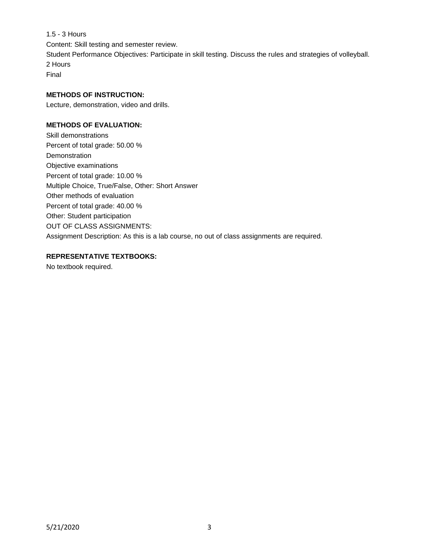1.5 - 3 Hours Content: Skill testing and semester review. Student Performance Objectives: Participate in skill testing. Discuss the rules and strategies of volleyball. 2 Hours Final

## **METHODS OF INSTRUCTION:**

Lecture, demonstration, video and drills.

#### **METHODS OF EVALUATION:**

Skill demonstrations Percent of total grade: 50.00 % Demonstration Objective examinations Percent of total grade: 10.00 % Multiple Choice, True/False, Other: Short Answer Other methods of evaluation Percent of total grade: 40.00 % Other: Student participation OUT OF CLASS ASSIGNMENTS: Assignment Description: As this is a lab course, no out of class assignments are required.

### **REPRESENTATIVE TEXTBOOKS:**

No textbook required.